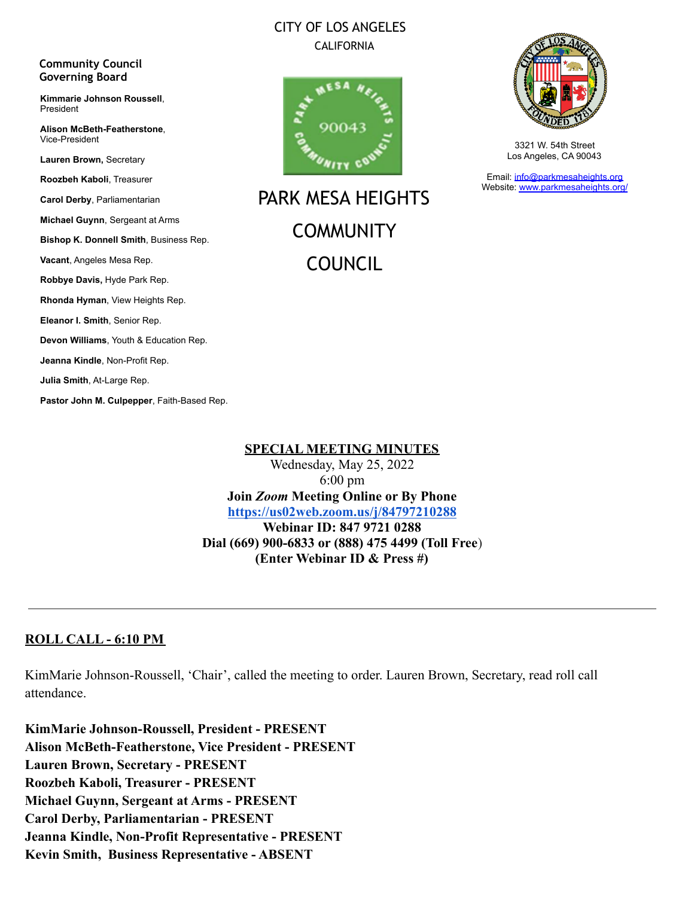# CITY OF LOS ANGELES CALIFORNIA



PARK MESA HEIGHTS **COMMUNITY** COUNCIL



3321 W. 54th Street Los Angeles, CA 90043

Email: [info@parkmesaheights.org](mailto:info@parkmesaheights.org) Website: [www.parkmesaheights.org/](http://www.parkmesaheights.org/)

**Lauren Brown,** Secretary **Roozbeh Kaboli**, Treasurer **Carol Derby**, Parliamentarian **Michael Guynn**, Sergeant at Arms **Bishop K. Donnell Smith**, Business Rep. **Vacant**, Angeles Mesa Rep. **Robbye Davis,** Hyde Park Rep. **Rhonda Hyman**, View Heights Rep. **Eleanor I. Smith**, Senior Rep. **Devon Williams**, Youth & Education Rep. **Jeanna Kindle**, Non-Profit Rep. **Julia Smith**, At-Large Rep.

**Community Council Governing Board**

President

Vice-President

**Kimmarie Johnson Roussell**,

**Alison McBeth-Featherstone**,

**Pastor John M. Culpepper**, Faith-Based Rep.

#### **SPECIAL MEETING MINUTES**

Wednesday, May 25, 2022 6:00 pm **Join** *Zoom* **Meeting Online or By Phone <https://us02web.zoom.us/j/84797210288> Webinar ID: 847 9721 0288 Dial (669) 900-6833 or (888) 475 4499 (Toll Free**) **(Enter Webinar ID & Press #)**

# **ROLL CALL - 6:10 PM**

KimMarie Johnson-Roussell, 'Chair', called the meeting to order. Lauren Brown, Secretary, read roll call attendance.

**KimMarie Johnson-Roussell, President - PRESENT Alison McBeth-Featherstone, Vice President - PRESENT Lauren Brown, Secretary - PRESENT Roozbeh Kaboli, Treasurer - PRESENT Michael Guynn, Sergeant at Arms - PRESENT Carol Derby, Parliamentarian - PRESENT Jeanna Kindle, Non-Profit Representative - PRESENT Kevin Smith, Business Representative - ABSENT**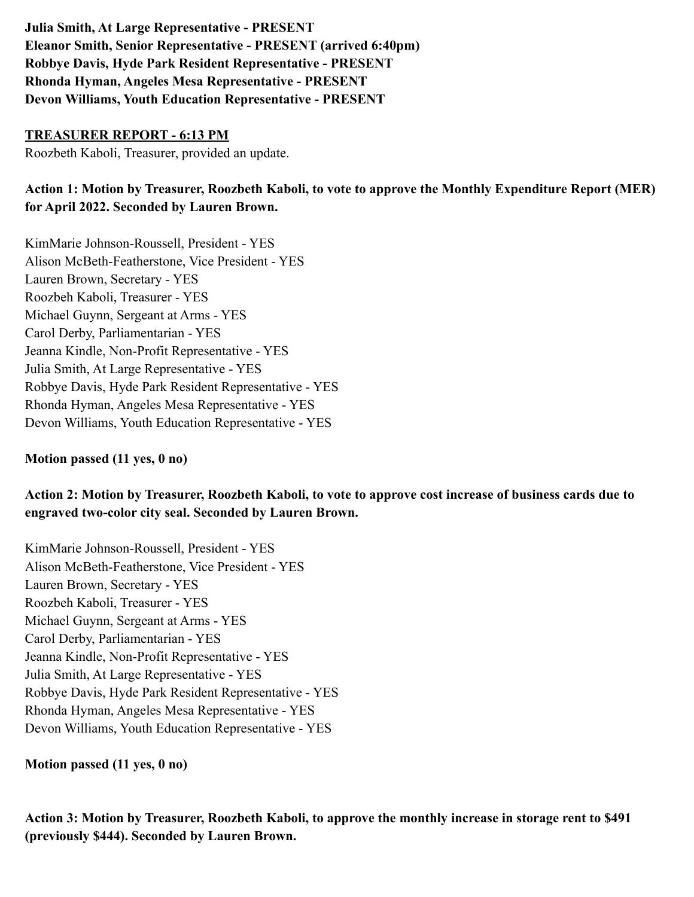**Julia Smith, At Large Representative - PRESENT Eleanor Smith, Senior Representative - PRESENT (arrived 6:40pm) Robbye Davis, Hyde Park Resident Representative - PRESENT Rhonda Hyman, Angeles Mesa Representative - PRESENT Devon Williams, Youth Education Representative - PRESENT**

### **TREASURER REPORT - 6:13 PM**

Roozbeth Kaboli, Treasurer, provided an update.

# **Action 1: Motion by Treasurer, Roozbeth Kaboli, to vote to approve the Monthly Expenditure Report (MER) for April 2022. Seconded by Lauren Brown.**

KimMarie Johnson-Roussell, President - YES Alison McBeth-Featherstone, Vice President - YES Lauren Brown, Secretary - YES Roozbeh Kaboli, Treasurer - YES Michael Guynn, Sergeant at Arms - YES Carol Derby, Parliamentarian - YES Jeanna Kindle, Non-Profit Representative - YES Julia Smith, At Large Representative - YES Robbye Davis, Hyde Park Resident Representative - YES Rhonda Hyman, Angeles Mesa Representative - YES Devon Williams, Youth Education Representative - YES

# **Motion passed (11 yes, 0 no)**

**Action 2: Motion by Treasurer, Roozbeth Kaboli, to vote to approve cost increase of business cards due to engraved two-color city seal. Seconded by Lauren Brown.**

KimMarie Johnson-Roussell, President - YES Alison McBeth-Featherstone, Vice President - YES Lauren Brown, Secretary - YES Roozbeh Kaboli, Treasurer - YES Michael Guynn, Sergeant at Arms - YES Carol Derby, Parliamentarian - YES Jeanna Kindle, Non-Profit Representative - YES Julia Smith, At Large Representative - YES Robbye Davis, Hyde Park Resident Representative - YES Rhonda Hyman, Angeles Mesa Representative - YES Devon Williams, Youth Education Representative - YES

**Motion passed (11 yes, 0 no)**

**Action 3: Motion by Treasurer, Roozbeth Kaboli, to approve the monthly increase in storage rent to \$491 (previously \$444). Seconded by Lauren Brown.**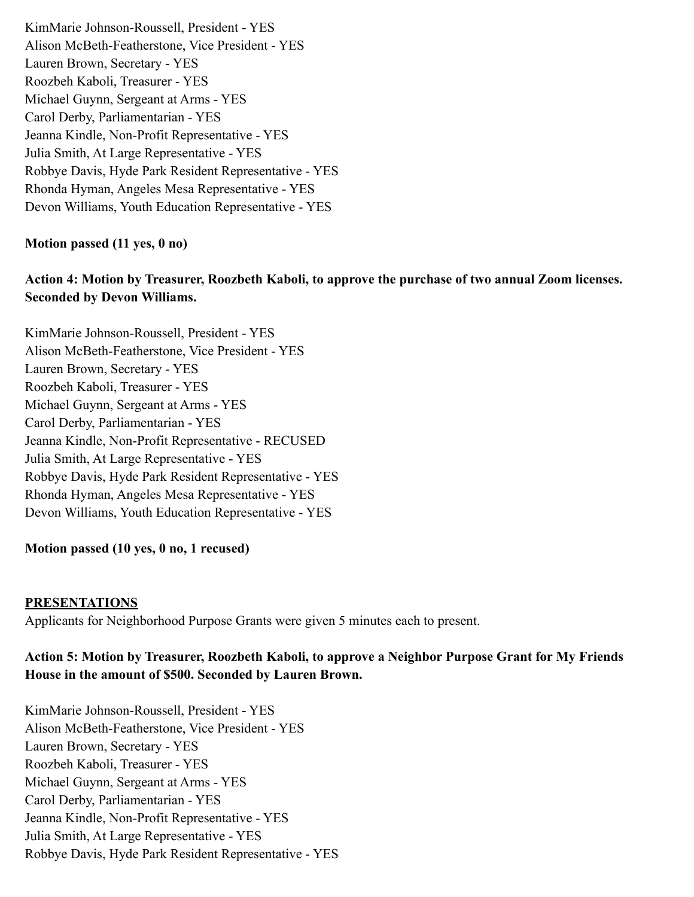KimMarie Johnson-Roussell, President - YES Alison McBeth-Featherstone, Vice President - YES Lauren Brown, Secretary - YES Roozbeh Kaboli, Treasurer - YES Michael Guynn, Sergeant at Arms - YES Carol Derby, Parliamentarian - YES Jeanna Kindle, Non-Profit Representative - YES Julia Smith, At Large Representative - YES Robbye Davis, Hyde Park Resident Representative - YES Rhonda Hyman, Angeles Mesa Representative - YES Devon Williams, Youth Education Representative - YES

### **Motion passed (11 yes, 0 no)**

# **Action 4: Motion by Treasurer, Roozbeth Kaboli, to approve the purchase of two annual Zoom licenses. Seconded by Devon Williams.**

KimMarie Johnson-Roussell, President - YES Alison McBeth-Featherstone, Vice President - YES Lauren Brown, Secretary - YES Roozbeh Kaboli, Treasurer - YES Michael Guynn, Sergeant at Arms - YES Carol Derby, Parliamentarian - YES Jeanna Kindle, Non-Profit Representative - RECUSED Julia Smith, At Large Representative - YES Robbye Davis, Hyde Park Resident Representative - YES Rhonda Hyman, Angeles Mesa Representative - YES Devon Williams, Youth Education Representative - YES

#### **Motion passed (10 yes, 0 no, 1 recused)**

#### **PRESENTATIONS**

Applicants for Neighborhood Purpose Grants were given 5 minutes each to present.

# **Action 5: Motion by Treasurer, Roozbeth Kaboli, to approve a Neighbor Purpose Grant for My Friends House in the amount of \$500. Seconded by Lauren Brown.**

KimMarie Johnson-Roussell, President - YES Alison McBeth-Featherstone, Vice President - YES Lauren Brown, Secretary - YES Roozbeh Kaboli, Treasurer - YES Michael Guynn, Sergeant at Arms - YES Carol Derby, Parliamentarian - YES Jeanna Kindle, Non-Profit Representative - YES Julia Smith, At Large Representative - YES Robbye Davis, Hyde Park Resident Representative - YES